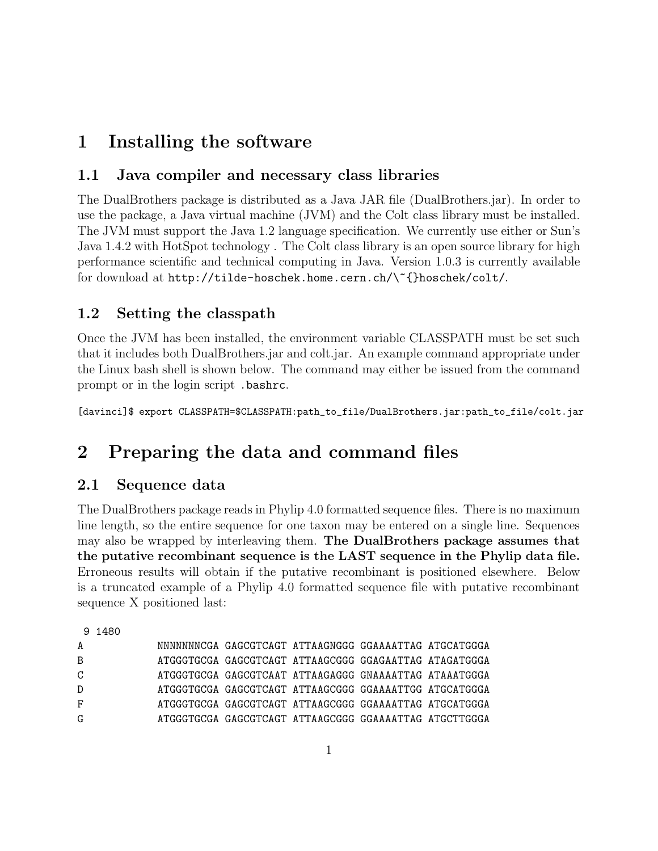# 1 Installing the software

### 1.1 Java compiler and necessary class libraries

The DualBrothers package is distributed as a Java JAR file (DualBrothers.jar). In order to use the package, a Java virtual machine (JVM) and the Colt class library must be installed. The JVM must support the Java 1.2 language specification. We currently use either or Sun's Java 1.4.2 with HotSpot technology . The Colt class library is an open source library for high performance scientific and technical computing in Java. Version 1.0.3 is currently available for download at http://tilde-hoschek.home.cern.ch/\~{}hoschek/colt/.

### 1.2 Setting the classpath

Once the JVM has been installed, the environment variable CLASSPATH must be set such that it includes both DualBrothers.jar and colt.jar. An example command appropriate under the Linux bash shell is shown below. The command may either be issued from the command prompt or in the login script .bashrc.

[davinci]\$ export CLASSPATH=\$CLASSPATH:path\_to\_file/DualBrothers.jar:path\_to\_file/colt.jar

# 2 Preparing the data and command files

### 2.1 Sequence data

The DualBrothers package reads in Phylip 4.0 formatted sequence files. There is no maximum line length, so the entire sequence for one taxon may be entered on a single line. Sequences may also be wrapped by interleaving them. The DualBrothers package assumes that the putative recombinant sequence is the LAST sequence in the Phylip data file. Erroneous results will obtain if the putative recombinant is positioned elsewhere. Below is a truncated example of a Phylip 4.0 formatted sequence file with putative recombinant sequence X positioned last:

9 1480

| A             |  | NNNNNNNCGA GAGCGTCAGT ATTAAGNGGG GGAAAATTAG ATGCATGGGA |  |
|---------------|--|--------------------------------------------------------|--|
| B             |  | ATGGGTGCGA GAGCGTCAGT ATTAAGCGGG GGAGAATTAG ATAGATGGGA |  |
| $\mathcal{C}$ |  | ATGGGTGCGA GAGCGTCAAT ATTAAGAGGG GNAAAATTAG ATAAATGGGA |  |
| D             |  | ATGGGTGCGA GAGCGTCAGT ATTAAGCGGG GGAAAATTGG ATGCATGGGA |  |
| F             |  | ATGGGTGCGA GAGCGTCAGT ATTAAGCGGG GGAAAATTAG ATGCATGGGA |  |
| G             |  | ATGGGTGCGA GAGCGTCAGT ATTAAGCGGG GGAAAATTAG ATGCTTGGGA |  |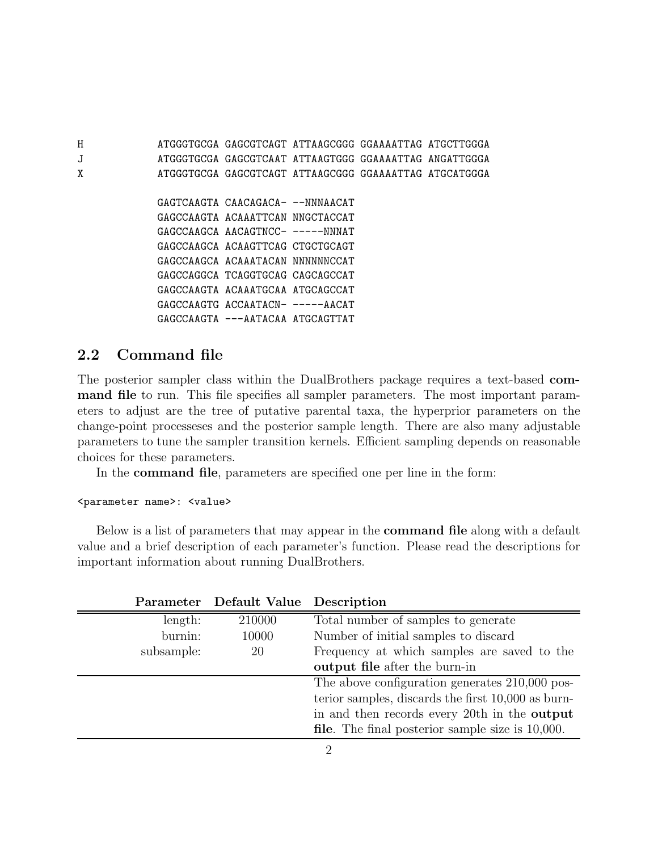H ATGGGTGCGA GAGCGTCAGT ATTAAGCGGG GGAAAATTAG ATGCTTGGGA J ATGGGTGCGA GAGCGTCAAT ATTAAGTGGG GGAAAATTAG ANGATTGGGA X ATGGGTGCGA GAGCGTCAGT ATTAAGCGGG GGAAAATTAG ATGCATGGGA GAGTCAAGTA CAACAGACA- --NNNAACAT GAGCCAAGTA ACAAATTCAN NNGCTACCAT GAGCCAAGCA AACAGTNCC- -----NNNAT GAGCCAAGCA ACAAGTTCAG CTGCTGCAGT GAGCCAAGCA ACAAATACAN NNNNNNCCAT GAGCCAGGCA TCAGGTGCAG CAGCAGCCAT GAGCCAAGTA ACAAATGCAA ATGCAGCCAT GAGCCAAGTG ACCAATACN- -----AACAT GAGCCAAGTA ---AATACAA ATGCAGTTAT

### 2.2 Command file

The posterior sampler class within the DualBrothers package requires a text-based command file to run. This file specifies all sampler parameters. The most important parameters to adjust are the tree of putative parental taxa, the hyperprior parameters on the change-point processeses and the posterior sample length. There are also many adjustable parameters to tune the sampler transition kernels. Efficient sampling depends on reasonable choices for these parameters.

In the command file, parameters are specified one per line in the form:

#### <parameter name>: <value>

Below is a list of parameters that may appear in the **command file** along with a default value and a brief description of each parameter's function. Please read the descriptions for important information about running DualBrothers.

|            | Parameter Default Value Description |                                                         |
|------------|-------------------------------------|---------------------------------------------------------|
| length:    | 210000                              | Total number of samples to generate                     |
| burnin:    | 10000                               | Number of initial samples to discard                    |
| subsample: | 20                                  | Frequency at which samples are saved to the             |
|            |                                     | output file after the burn-in                           |
|            |                                     | The above configuration generates 210,000 pos-          |
|            |                                     | terior samples, discards the first 10,000 as burn-      |
|            |                                     | in and then records every 20th in the <b>output</b>     |
|            |                                     | <b>file.</b> The final posterior sample size is 10,000. |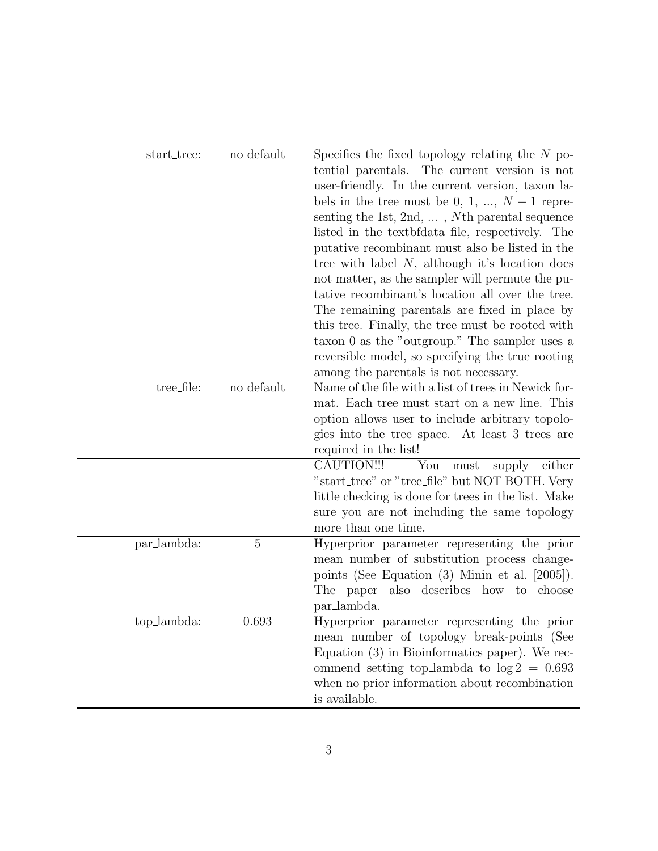| start_tree:<br>tree_file: | no default<br>no default | Specifies the fixed topology relating the $N$ po-<br>tential parentals. The current version is not<br>user-friendly. In the current version, taxon la-<br>bels in the tree must be 0, 1, , $N-1$ repre-<br>senting the 1st, 2nd, $\dots$ , Nth parental sequence<br>listed in the text brain file, respectively. The<br>putative recombinant must also be listed in the<br>tree with label $N$ , although it's location does<br>not matter, as the sampler will permute the pu-<br>tative recombinant's location all over the tree.<br>The remaining parentals are fixed in place by<br>this tree. Finally, the tree must be rooted with<br>taxon 0 as the "outgroup." The sampler uses a<br>reversible model, so specifying the true rooting<br>among the parentals is not necessary.<br>Name of the file with a list of trees in Newick for-<br>mat. Each tree must start on a new line. This |
|---------------------------|--------------------------|-------------------------------------------------------------------------------------------------------------------------------------------------------------------------------------------------------------------------------------------------------------------------------------------------------------------------------------------------------------------------------------------------------------------------------------------------------------------------------------------------------------------------------------------------------------------------------------------------------------------------------------------------------------------------------------------------------------------------------------------------------------------------------------------------------------------------------------------------------------------------------------------------|
|                           |                          | option allows user to include arbitrary topolo-                                                                                                                                                                                                                                                                                                                                                                                                                                                                                                                                                                                                                                                                                                                                                                                                                                                 |
|                           |                          | gies into the tree space. At least 3 trees are                                                                                                                                                                                                                                                                                                                                                                                                                                                                                                                                                                                                                                                                                                                                                                                                                                                  |
|                           |                          | required in the list!                                                                                                                                                                                                                                                                                                                                                                                                                                                                                                                                                                                                                                                                                                                                                                                                                                                                           |
|                           |                          | You<br>CAUTION!!!<br>supply either<br>${\rm must}$                                                                                                                                                                                                                                                                                                                                                                                                                                                                                                                                                                                                                                                                                                                                                                                                                                              |
|                           |                          | "start_tree" or "tree_file" but NOT BOTH. Very<br>little checking is done for trees in the list. Make                                                                                                                                                                                                                                                                                                                                                                                                                                                                                                                                                                                                                                                                                                                                                                                           |
|                           |                          | sure you are not including the same topology                                                                                                                                                                                                                                                                                                                                                                                                                                                                                                                                                                                                                                                                                                                                                                                                                                                    |
|                           |                          | more than one time.                                                                                                                                                                                                                                                                                                                                                                                                                                                                                                                                                                                                                                                                                                                                                                                                                                                                             |
| par_lambda:               | $\overline{5}$           | Hyperprior parameter representing the prior                                                                                                                                                                                                                                                                                                                                                                                                                                                                                                                                                                                                                                                                                                                                                                                                                                                     |
|                           |                          | mean number of substitution process change-                                                                                                                                                                                                                                                                                                                                                                                                                                                                                                                                                                                                                                                                                                                                                                                                                                                     |
|                           |                          | points (See Equation $(3)$ Minin et al. $[2005]$ ).<br>The paper also describes how to choose                                                                                                                                                                                                                                                                                                                                                                                                                                                                                                                                                                                                                                                                                                                                                                                                   |
|                           |                          | par_lambda.                                                                                                                                                                                                                                                                                                                                                                                                                                                                                                                                                                                                                                                                                                                                                                                                                                                                                     |
| top_lambda:               | 0.693                    | Hyperprior parameter representing the prior<br>mean number of topology break-points (See<br>Equation $(3)$ in Bioinformatics paper). We rec-<br>ommend setting top_lambda to $log 2 = 0.693$<br>when no prior information about recombination<br>is available.                                                                                                                                                                                                                                                                                                                                                                                                                                                                                                                                                                                                                                  |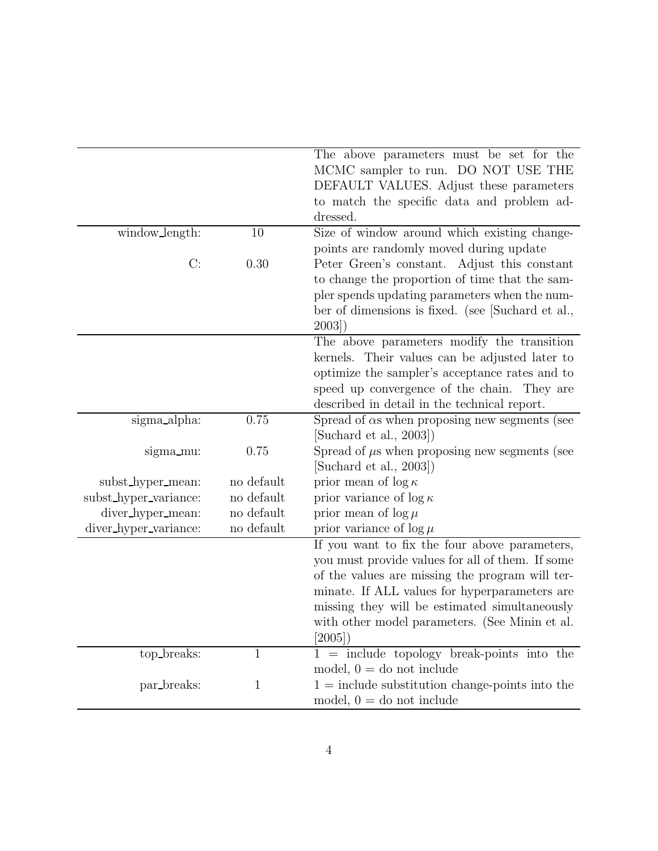|                       |              | The above parameters must be set for the              |
|-----------------------|--------------|-------------------------------------------------------|
|                       |              | MCMC sampler to run. DO NOT USE THE                   |
|                       |              | DEFAULT VALUES. Adjust these parameters               |
|                       |              | to match the specific data and problem ad-            |
|                       |              | dressed.                                              |
| window_length:        | 10           | Size of window around which existing change-          |
|                       |              | points are randomly moved during update               |
| C:                    | 0.30         | Peter Green's constant. Adjust this constant          |
|                       |              | to change the proportion of time that the sam-        |
|                       |              | pler spends updating parameters when the num-         |
|                       |              | ber of dimensions is fixed. (see [Suchard et al.,     |
|                       |              | 2003)                                                 |
|                       |              | The above parameters modify the transition            |
|                       |              | kernels. Their values can be adjusted later to        |
|                       |              | optimize the sampler's acceptance rates and to        |
|                       |              | speed up convergence of the chain. They are           |
|                       |              | described in detail in the technical report.          |
| sigma_alpha:          | 0.75         | Spread of $\alpha$ s when proposing new segments (see |
|                       |              | [Suchard et al., 2003])                               |
| sigma_mu:             | 0.75         | Spread of $\mu$ s when proposing new segments (see    |
|                       |              | [Suchard et al., $2003$ ])                            |
| subst_hyper_mean:     | no default   | prior mean of $\log \kappa$                           |
| subst_hyper_variance: | no default   | prior variance of $\log \kappa$                       |
| diver_hyper_mean:     | no default   | prior mean of $\log \mu$                              |
| diver_hyper_variance: | no default   | prior variance of $\log \mu$                          |
|                       |              | If you want to fix the four above parameters,         |
|                       |              | you must provide values for all of them. If some      |
|                       |              | of the values are missing the program will ter-       |
|                       |              | minate. If ALL values for hyperparameters are         |
|                       |              | missing they will be estimated simultaneously         |
|                       |              | with other model parameters. (See Minin et al.        |
|                       |              | [2005]                                                |
| top_breaks:           | 1            | $1 =$ include topology break-points into the          |
|                       |              | model, $0 =$ do not include                           |
| par_breaks:           | $\mathbf{1}$ | $1 =$ include substitution change-points into the     |
|                       |              | model, $0 =$ do not include                           |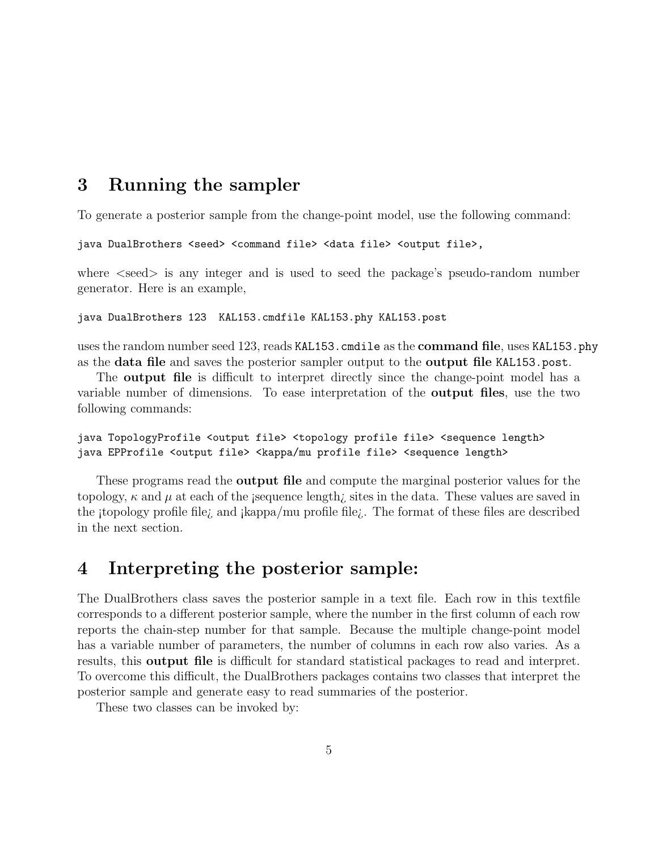# 3 Running the sampler

To generate a posterior sample from the change-point model, use the following command:

```
java DualBrothers <seed> <command file> <data file> <output file>,
```
where  $\leq$ seed $\geq$  is any integer and is used to seed the package's pseudo-random number generator. Here is an example,

java DualBrothers 123 KAL153.cmdfile KAL153.phy KAL153.post

uses the random number seed 123, reads KAL153.cmdile as the command file, uses KAL153.phy as the data file and saves the posterior sampler output to the output file KAL153.post.

The **output file** is difficult to interpret directly since the change-point model has a variable number of dimensions. To ease interpretation of the output files, use the two following commands:

java TopologyProfile <output file> <topology profile file> <sequence length> java EPProfile <output file> <kappa/mu profile file> <sequence length>

These programs read the **output file** and compute the marginal posterior values for the topology,  $\kappa$  and  $\mu$  at each of the sequence length; sites in the data. These values are saved in the itopology profile file<sub> $i$ </sub> and  $\frac{1}{2}$  kappa/mu profile file $i$ . The format of these files are described in the next section.

# 4 Interpreting the posterior sample:

The DualBrothers class saves the posterior sample in a text file. Each row in this textfile corresponds to a different posterior sample, where the number in the first column of each row reports the chain-step number for that sample. Because the multiple change-point model has a variable number of parameters, the number of columns in each row also varies. As a results, this output file is difficult for standard statistical packages to read and interpret. To overcome this difficult, the DualBrothers packages contains two classes that interpret the posterior sample and generate easy to read summaries of the posterior.

These two classes can be invoked by: